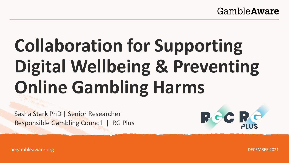#### GambleAware

# **Collaboration for Supporting Digital Wellbeing & Preventing Online Gambling Harms**

Sasha Stark PhD | Senior Researcher Responsible Gambling Council | RG Plus



begambleaware.org

DECEMBER 2021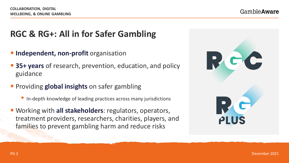## **RGC & RG+: All in for Safer Gambling**

- **Independent, non-profit** organisation
- **35+ years** of research, prevention, education, and policy guidance
- Providing **global insights** on safer gambling
	- In-depth knowledge of leading practices across many jurisdictions
- Working with **all stakeholders**: regulators, operators, treatment providers, researchers, charities, players, and families to prevent gambling harm and reduce risks

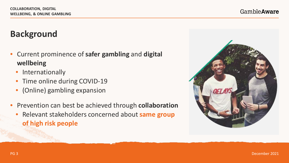## **Background**

- Current prominence of **safer gambling** and **digital wellbeing**
	- **Internationally**
	- Time online during COVID-19
	- (Online) gambling expansion
- Prevention can best be achieved through **collaboration**
	- Relevant stakeholders concerned about **same group of high risk people**

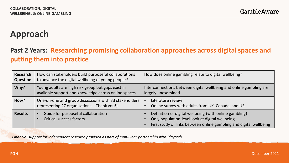## **Approach**

#### **Past 2 Years: Researching promising collaboration approaches across digital spaces and putting them into practice**

| <b>Research</b><br><b>Question</b> | How can stakeholders build purposeful collaborations<br>to advance the digital wellbeing of young people?  | How does online gambling relate to digital wellbeing?                                                                                                                           |
|------------------------------------|------------------------------------------------------------------------------------------------------------|---------------------------------------------------------------------------------------------------------------------------------------------------------------------------------|
| Why?                               | Young adults are high risk group but gaps exist in<br>available support and knowledge across online spaces | Interconnections between digital wellbeing and online gambling are<br>largely unexamined                                                                                        |
| How?                               | One-on-one and group discussions with 33 stakeholders<br>representing 27 organisations (Thank you!)        | Literature review<br>Online survey with adults from UK, Canada, and US                                                                                                          |
| <b>Results</b>                     | Guide for purposeful collaboration<br><b>Critical success factors</b>                                      | Definition of digital wellbeing (with online gambling)<br>Only population-level look at digital wellbeing<br>First study of links between online gambling and digital wellbeing |

*Financial support for independent research provided as part of multi-year partnership with Playtech*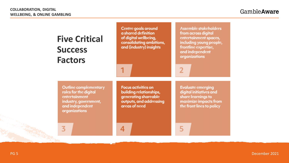| <b>Five Critical</b><br><b>Success</b><br><b>Factors</b>                                                                     | Centre goals around<br>a shared definition<br>of digital wellbeing,<br>consolidating ambitions,<br>and (industry) insights | <b>Assemble stakeholders</b><br>from across digital<br>entertainment spaces,<br>including young people,<br>frontline expertise,<br>and independent<br>organizations |
|------------------------------------------------------------------------------------------------------------------------------|----------------------------------------------------------------------------------------------------------------------------|---------------------------------------------------------------------------------------------------------------------------------------------------------------------|
| Outline complementary<br>roles for the digital<br>entertainment<br>industry, government,<br>and independent<br>organizations | <b>Focus activities on</b><br>building relationships,<br>generating shareable<br>outputs, and addressing<br>areas of need  | <b>Evaluate emerging</b><br>digital initiatives and<br>share learnings to<br>maximize impacts from<br>the front lines to policy                                     |
|                                                                                                                              |                                                                                                                            |                                                                                                                                                                     |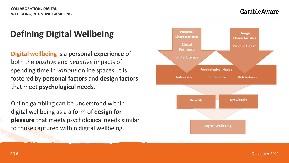# **Defining Digital Wellbeing**

**Digital wellbeing** is a **personal experience** of both the *positive* and *negative* impacts of spending time in *various* online spaces. It is fostered by **personal factors** and **design factors**  that meet **psychological needs**.

Online gambling can be understood within digital wellbeing as a a form of **design for pleasure** that meets psychological needs similar to those captured within digital wellbeing.

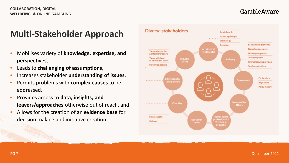## **Multi-Stakeholder Approach**

- Mobilises variety of **knowledge, expertise, and perspectives**,
- Leads to **challenging of assumptions**,
- Increases stakeholder **understanding of issues**,
- Permits problems with **complex causes** to be addressed,
- Provides access to **data, insights, and leavers/approaches** otherwise out of reach, and
- Allows for the creation of an **evidence base** for decision making and initiative creation.

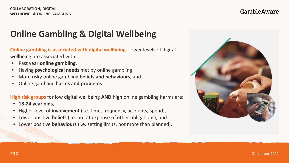# **Online Gambling & Digital Wellbeing**

**Online gambling is associated with digital wellbeing**. Lower levels of digital wellbeing are associated with:

- Past year **online gambling**,
- Having **psychological needs** met by online gambling,
- More risky online gambling **beliefs and behaviours**, and
- Online gambling **harms and problems**.

**High risk groups** for low digital wellbeing **AND** high online gambling harms are:

- **18-24 year olds**,
- Higher level of **involvement** (i.e. time, frequency, accounts, spend),
- Lower positive **beliefs** (i.e. not at expense of other obligations), and
- Lower positive **behaviours** (i.e. setting limits, not more than planned).

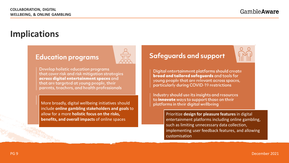## **Implications**

#### **Education programs**



Develop holistic education programs that cover risk and risk mitigation strategies across digital entertainment spaces and that are targeted at young people, their parents, teachers, and health professionals

More broadly, digital wellbeing initiatives should include **online gambling stakeholders and goals** to allow for a more **holistic focus on the risks, benefits, and overall impacts** of online spaces

#### **Safeguards and support**



Digital entertainment platforms should create broad and tailored safeguards and tools for young people that are relevant across spaces, particularly during COVID-19 restrictions

Industry should use its insights and resources to innovate ways to support those on their platforms in their digital wellbeing

> Prioritize **design for pleasure features**in digital entertainment platforms including online gambling, such as limiting unnecessary data collection, implementing user feedback features, and allowing customisation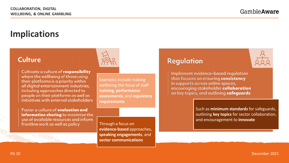## **Implications**

#### **Culture**

Cultivate a culture of responsibility where the wellbeing of those using their platforms is a priority within all digital entertainment industries, including approaches directed to people on their platforms as well as initiatives with external stakeholders

Foster a culture of evaluation and information sharing to maximize the use of available resources and inform frontline work as well as policy



Examples include making wellbeing the focus of staff **training**, **performance assessments**, and **regulatory requirements**

Through a focus on **evidence-based** approaches, **speaking engagements**, and **sector communications**

#### Regulation

Implement evidence-based regulation that focuses on ensuring consistency in supports across online spaces, encouraging stakeholder collaboration on key topics, and outlining safeguards

> Such as **minimum standards** for safeguards, outlining **key topics** for sector collaboration, and encouragement to **innovate**